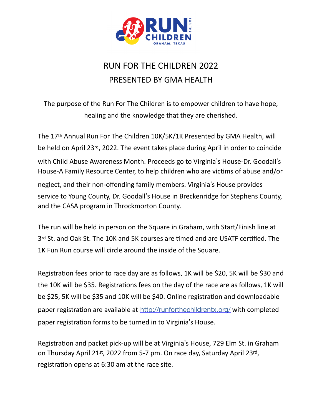

## RUN FOR THE CHILDREN 2022 PRESENTED BY GMA HEALTH

The purpose of the Run For The Children is to empower children to have hope, healing and the knowledge that they are cherished.

The 17th Annual Run For The Children 10K/5K/1K Presented by GMA Health, will be held on April 23rd, 2022. The event takes place during April in order to coincide with Child Abuse Awareness Month. Proceeds go to Virginia's House-Dr. Goodall's House-A Family Resource Center, to help children who are victims of abuse and/or neglect, and their non-offending family members. Virginia's House provides service to Young County, Dr. Goodall's House in Breckenridge for Stephens County, and the CASA program in Throckmorton County.

The run will be held in person on the Square in Graham, with Start/Finish line at 3rd St. and Oak St. The 10K and 5K courses are timed and are USATF certified. The 1K Fun Run course will circle around the inside of the Square.

Registration fees prior to race day are as follows, 1K will be \$20, 5K will be \$30 and the 10K will be \$35. Registrations fees on the day of the race are as follows, 1K will be \$25, 5K will be \$35 and 10K will be \$40. Online registration and downloadable paper registration are available at <http://runforthechildrentx.org/> with completed paper registration forms to be turned in to Virginia's House.

Registration and packet pick-up will be at Virginia's House, 729 Elm St. in Graham on Thursday April 21st, 2022 from 5-7 pm. On race day, Saturday April 23rd, registration opens at 6:30 am at the race site.